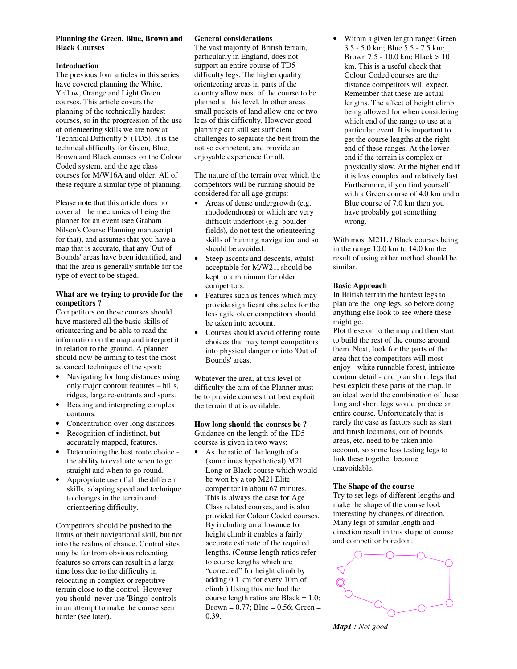## **Planning the Green, Blue, Brown and Black Courses**

## **Introduction**

The previous four articles in this series have covered planning the White, Yellow, Orange and Light Green courses. This article covers the planning of the technically hardest courses, so in the progression of the use of orienteering skills we are now at 'Technical Difficulty 5' (TD5). It is the technical difficulty for Green, Blue, Brown and Black courses on the Colour Coded system, and the age class courses for M/W16A and older. All of these require a similar type of planning.

Please note that this article does not cover all the mechanics of being the planner for an event (see Graham Nilsen's Course Planning manuscript for that), and assumes that you have a map that is accurate, that any 'Out of Bounds' areas have been identified, and that the area is generally suitable for the type of event to be staged.

## **What are we trying to provide for the competitors ?**

Competitors on these courses should have mastered all the basic skills of orienteering and be able to read the information on the map and interpret it in relation to the ground. A planner should now be aiming to test the most advanced techniques of the sport:

- Navigating for long distances using only major contour features – hills, ridges, large re-entrants and spurs.
- Reading and interpreting complex contours.
- Concentration over long distances.
- Recognition of indistinct, but accurately mapped, features.
- Determining the best route choice the ability to evaluate when to go straight and when to go round.
- Appropriate use of all the different skills, adapting speed and technique to changes in the terrain and orienteering difficulty.

Competitors should be pushed to the limits of their navigational skill, but not into the realms of chance. Control sites may be far from obvious relocating features so errors can result in a large time loss due to the difficulty in relocating in complex or repetitive terrain close to the control. However you should never use 'Bingo' controls in an attempt to make the course seem harder (see later).

## **General considerations**

The vast majority of British terrain, particularly in England, does not support an entire course of TD5 difficulty legs. The higher quality orienteering areas in parts of the country allow most of the course to be planned at this level. In other areas small pockets of land allow one or two legs of this difficulty. However good planning can still set sufficient challenges to separate the best from the not so competent, and provide an enjoyable experience for all.

The nature of the terrain over which the competitors will be running should be considered for all age groups:

- Areas of dense undergrowth (e.g. rhododendrons) or which are very difficult underfoot (e.g. boulder fields), do not test the orienteering skills of 'running navigation' and so should be avoided.
- Steep ascents and descents, whilst acceptable for M/W21, should be kept to a minimum for older competitors.
- Features such as fences which may provide significant obstacles for the less agile older competitors should be taken into account.
- Courses should avoid offering route choices that may tempt competitors into physical danger or into 'Out of Bounds' areas.

Whatever the area, at this level of difficulty the aim of the Planner must be to provide courses that best exploit the terrain that is available.

#### **How long should the courses be ?**  Guidance on the length of the TD5 courses is given in two ways:

• As the ratio of the length of a (sometimes hypothetical) M21 Long or Black course which would be won by a top M21 Elite competitor in about 67 minutes. This is always the case for Age Class related courses, and is also provided for Colour Coded courses. By including an allowance for height climb it enables a fairly accurate estimate of the required lengths. (Course length ratios refer to course lengths which are "corrected" for height climb by adding 0.1 km for every 10m of climb.) Using this method the course length ratios are Black = 1.0; Brown =  $0.77$ ; Blue =  $0.56$ ; Green = 0.39.

Within a given length range: Green 3.5 - 5.0 km; Blue 5.5 - 7.5 km; Brown 7.5 - 10.0 km; Black > 10 km. This is a useful check that Colour Coded courses are the distance competitors will expect. Remember that these are actual lengths. The affect of height climb being allowed for when considering which end of the range to use at a particular event. It is important to get the course lengths at the right end of these ranges. At the lower end if the terrain is complex or physically slow. At the higher end if it is less complex and relatively fast. Furthermore, if you find yourself with a Green course of 4.0 km and a Blue course of 7.0 km then you have probably got something wrong.

With most M21L / Black courses being in the range 10.0 km to 14.0 km the result of using either method should be similar.

# **Basic Approach**

In British terrain the hardest legs to plan are the long legs, so before doing anything else look to see where these might go.

Plot these on to the map and then start to build the rest of the course around them. Next, look for the parts of the area that the competitors will most enjoy - white runnable forest, intricate contour detail - and plan short legs that best exploit these parts of the map. In an ideal world the combination of these long and short legs would produce an entire course. Unfortunately that is rarely the case as factors such as start and finish locations, out of bounds areas, etc. need to be taken into account, so some less testing legs to link these together become unavoidable.

## **The Shape of the course**

Try to set legs of different lengths and make the shape of the course look interesting by changes of direction. Many legs of similar length and direction result in this shape of course and competitor boredom.



*Map1 : Not good*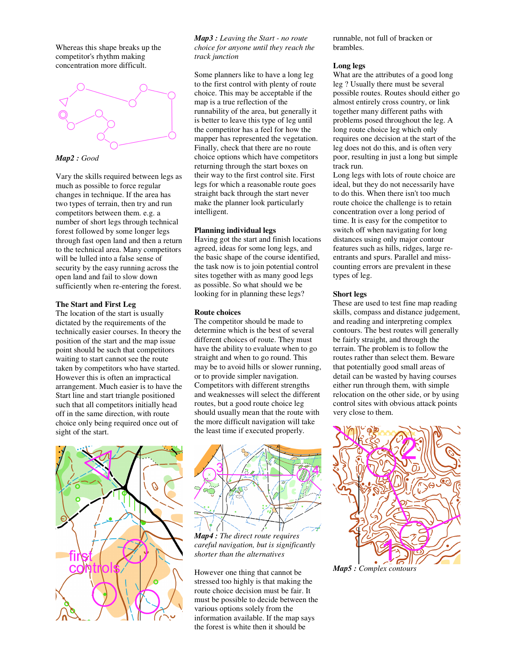Whereas this shape breaks up the competitor's rhythm making concentration more difficult.



*Map2 : Good* 

Vary the skills required between legs as much as possible to force regular changes in technique. If the area has two types of terrain, then try and run competitors between them. e.g. a number of short legs through technical forest followed by some longer legs through fast open land and then a return to the technical area. Many competitors will be lulled into a false sense of security by the easy running across the open land and fail to slow down sufficiently when re-entering the forest.

# **The Start and First Leg**

The location of the start is usually dictated by the requirements of the technically easier courses. In theory the position of the start and the map issue point should be such that competitors waiting to start cannot see the route taken by competitors who have started. However this is often an impractical arrangement. Much easier is to have the Start line and start triangle positioned such that all competitors initially head off in the same direction, with route choice only being required once out of sight of the start.



*Map3 : Leaving the Start - no route choice for anyone until they reach the track junction*

Some planners like to have a long leg to the first control with plenty of route choice. This may be acceptable if the map is a true reflection of the runnability of the area, but generally it is better to leave this type of leg until the competitor has a feel for how the mapper has represented the vegetation. Finally, check that there are no route choice options which have competitors returning through the start boxes on their way to the first control site. First legs for which a reasonable route goes straight back through the start never make the planner look particularly intelligent.

## **Planning individual legs**

Having got the start and finish locations agreed, ideas for some long legs, and the basic shape of the course identified, the task now is to join potential control sites together with as many good legs as possible. So what should we be looking for in planning these legs?

## **Route choices**

The competitor should be made to determine which is the best of several different choices of route. They must have the ability to evaluate when to go straight and when to go round. This may be to avoid hills or slower running, or to provide simpler navigation. Competitors with different strengths and weaknesses will select the different routes, but a good route choice leg should usually mean that the route with the more difficult navigation will take the least time if executed properly.



*Map4 : The direct route requires careful navigation, but is significantly shorter than the alternatives* 

However one thing that cannot be stressed too highly is that making the route choice decision must be fair. It must be possible to decide between the various options solely from the information available. If the map says the forest is white then it should be

runnable, not full of bracken or brambles.

## **Long legs**

What are the attributes of a good long leg ? Usually there must be several possible routes. Routes should either go almost entirely cross country, or link together many different paths with problems posed throughout the leg. A long route choice leg which only requires one decision at the start of the leg does not do this, and is often very poor, resulting in just a long but simple track run.

Long legs with lots of route choice are ideal, but they do not necessarily have to do this. When there isn't too much route choice the challenge is to retain concentration over a long period of time. It is easy for the competitor to switch off when navigating for long distances using only major contour features such as hills, ridges, large reentrants and spurs. Parallel and misscounting errors are prevalent in these types of leg.

# **Short legs**

These are used to test fine map reading skills, compass and distance judgement, and reading and interpreting complex contours. The best routes will generally be fairly straight, and through the terrain. The problem is to follow the routes rather than select them. Beware that potentially good small areas of detail can be wasted by having courses either run through them, with simple relocation on the other side, or by using control sites with obvious attack points very close to them.



*Map5 : Complex contours*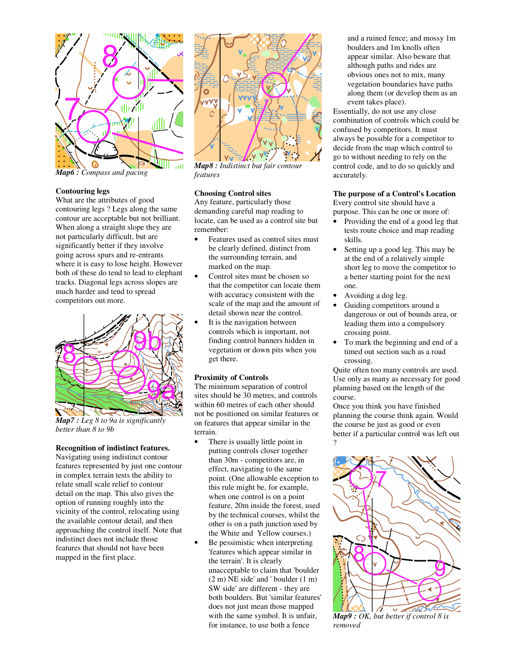

*Map6 : Compass and pacing* 

## **Contouring legs**

What are the attributes of good contouring legs ? Legs along the same contour are acceptable but not brilliant. When along a straight slope they are not particularly difficult, but are significantly better if they involve going across spurs and re-entrants where it is easy to lose height. However both of these do tend to lead to elephant tracks. Diagonal legs across slopes are much harder and tend to spread competitors out more.



*Map7 : Leg 8 to 9a is significantly better than 8 to 9b* 

## **Recognition of indistinct features.**

Navigating using indistinct contour features represented by just one contour in complex terrain tests the ability to relate small scale relief to contour detail on the map. This also gives the option of running roughly into the vicinity of the control, relocating using the available contour detail, and then approaching the control itself. Note that indistinct does not include those features that should not have been mapped in the first place.



*Map8 : Indistinct but fair contour features* 

## **Choosing Control sites**

Any feature, particularly those demanding careful map reading to locate, can be used as a control site but remember:

- Features used as control sites must be clearly defined, distinct from the surrounding terrain, and marked on the map.
- Control sites must be chosen so that the competitor can locate them with accuracy consistent with the scale of the map and the amount of detail shown near the control.
- It is the navigation between controls which is important, not finding control banners hidden in vegetation or down pits when you get there.

#### **Proximity of Controls**

The minimum separation of control sites should be  $3\overline{0}$  metres, and controls within 60 metres of each other should not be positioned on similar features or on features that appear similar in the terrain.

- There is usually little point in putting controls closer together than 30m - competitors are, in effect, navigating to the same point. (One allowable exception to this rule might be, for example, when one control is on a point feature, 20m inside the forest, used by the technical courses, whilst the other is on a path junction used by the White and Yellow courses.)
- Be pessimistic when interpreting 'features which appear similar in the terrain'. It is clearly unacceptable to claim that 'boulder (2 m) NE side' and ' boulder (1 m) SW side' are different - they are both boulders. But 'similar features' does not just mean those mapped with the same symbol. It is unfair, for instance, to use both a fence

and a ruined fence; and mossy 1m boulders and 1m knolls often appear similar. Also beware that although paths and rides are obvious ones not to mix, many vegetation boundaries have paths along them (or develop them as an event takes place).

Essentially, do not use any close combination of controls which could be confused by competitors. It must always be possible for a competitor to decide from the map which control to go to without needing to rely on the control code, and to do so quickly and accurately.

# **The purpose of a Control's Location**

Every control site should have a purpose. This can be one or more of:

- Providing the end of a good leg that tests route choice and map reading skills.
- Setting up a good leg. This may be at the end of a relatively simple short leg to move the competitor to a better starting point for the next one.
- Avoiding a dog leg.
- Guiding competitors around a dangerous or out of bounds area, or leading them into a compulsory crossing point.
- To mark the beginning and end of a timed out section such as a road crossing.

Quite often too many controls are used. Use only as many as necessary for good planning based on the length of the course.

Once you think you have finished planning the course think again. Would the course be just as good or even better if a particular control was left out ?



*Map9 : OK, but better if control 8 is removed*